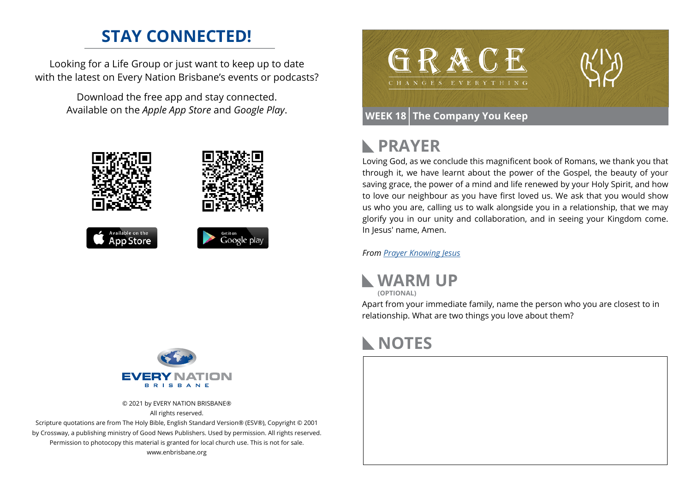### **STAY CONNECTED!**

Looking for a Life Group or just want to keep up to date with the latest on Every Nation Brisbane's events or podcasts?

> Download the free app and stay connected. Available on the *Apple App Store* and *Google Play*.





© 2021 by EVERY NATION BRISBANE® All rights reserved.

Scripture quotations are from The Holy Bible, English Standard Version® (ESV®), Copyright © 2001 by Crossway, a publishing ministry of Good News Publishers. Used by permission. All rights reserved. Permission to photocopy this material is granted for local church use. This is not for sale. www.enbrisbane.org



# **PRAYER**

Loving God, as we conclude this magnificent book of Romans, we thank you that through it, we have learnt about the power of the Gospel, the beauty of your saving grace, the power of a mind and life renewed by your Holy Spirit, and how to love our neighbour as you have first loved us. We ask that you would show us who you are, calling us to walk alongside you in a relationship, that we may glorify you in our unity and collaboration, and in seeing your Kingdom come. In Jesus' name, Amen.

*From [Prayer](https://prayer.knowing-jesus.com/Romans/15) Knowing Jesus*



Apart from your immediate family, name the person who you are closest to in relationship. What are two things you love about them?

# **NOTES**